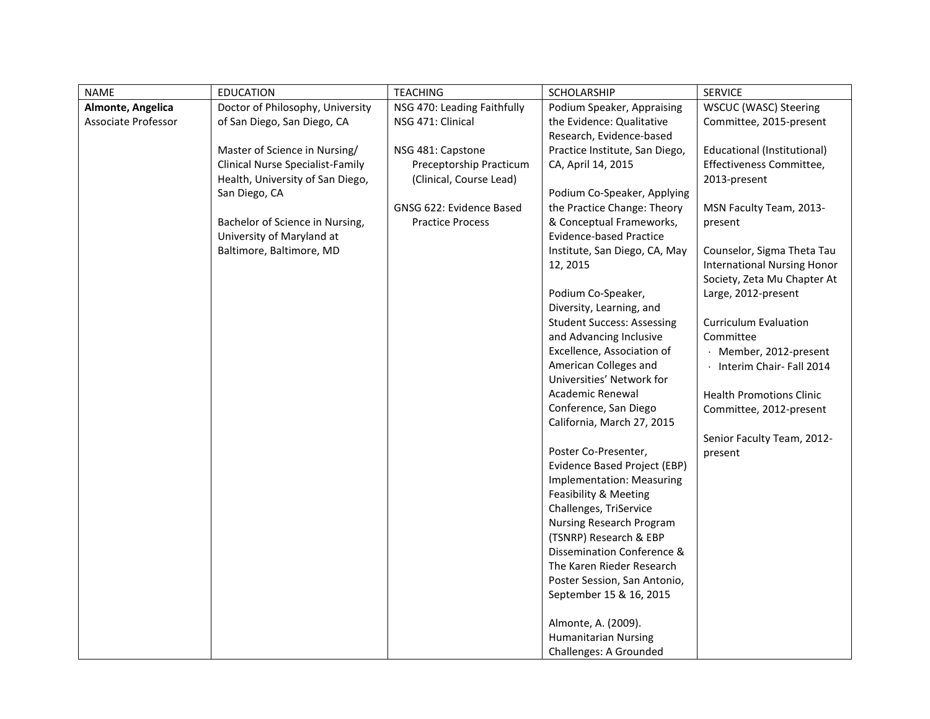| <b>NAME</b>         | <b>EDUCATION</b>                        | <b>TEACHING</b>             | SCHOLARSHIP                       | <b>SERVICE</b>                     |
|---------------------|-----------------------------------------|-----------------------------|-----------------------------------|------------------------------------|
| Almonte, Angelica   | Doctor of Philosophy, University        | NSG 470: Leading Faithfully | Podium Speaker, Appraising        | WSCUC (WASC) Steering              |
| Associate Professor | of San Diego, San Diego, CA             | NSG 471: Clinical           | the Evidence: Qualitative         | Committee, 2015-present            |
|                     |                                         |                             | Research, Evidence-based          |                                    |
|                     | Master of Science in Nursing/           | NSG 481: Capstone           | Practice Institute, San Diego,    | <b>Educational (Institutional)</b> |
|                     | <b>Clinical Nurse Specialist-Family</b> | Preceptorship Practicum     | CA, April 14, 2015                | Effectiveness Committee,           |
|                     | Health, University of San Diego,        | (Clinical, Course Lead)     |                                   | 2013-present                       |
|                     | San Diego, CA                           |                             | Podium Co-Speaker, Applying       |                                    |
|                     |                                         | GNSG 622: Evidence Based    | the Practice Change: Theory       | MSN Faculty Team, 2013-            |
|                     | Bachelor of Science in Nursing,         | <b>Practice Process</b>     | & Conceptual Frameworks,          | present                            |
|                     | University of Maryland at               |                             | <b>Evidence-based Practice</b>    |                                    |
|                     | Baltimore, Baltimore, MD                |                             | Institute, San Diego, CA, May     | Counselor, Sigma Theta Tau         |
|                     |                                         |                             | 12, 2015                          | <b>International Nursing Honor</b> |
|                     |                                         |                             |                                   | Society, Zeta Mu Chapter At        |
|                     |                                         |                             | Podium Co-Speaker,                | Large, 2012-present                |
|                     |                                         |                             | Diversity, Learning, and          |                                    |
|                     |                                         |                             | <b>Student Success: Assessing</b> | <b>Curriculum Evaluation</b>       |
|                     |                                         |                             | and Advancing Inclusive           | Committee                          |
|                     |                                         |                             | Excellence, Association of        | · Member, 2012-present             |
|                     |                                         |                             | American Colleges and             | · Interim Chair-Fall 2014          |
|                     |                                         |                             | Universities' Network for         |                                    |
|                     |                                         |                             | Academic Renewal                  | <b>Health Promotions Clinic</b>    |
|                     |                                         |                             | Conference, San Diego             | Committee, 2012-present            |
|                     |                                         |                             | California, March 27, 2015        |                                    |
|                     |                                         |                             |                                   | Senior Faculty Team, 2012-         |
|                     |                                         |                             | Poster Co-Presenter,              | present                            |
|                     |                                         |                             | Evidence Based Project (EBP)      |                                    |
|                     |                                         |                             | Implementation: Measuring         |                                    |
|                     |                                         |                             | Feasibility & Meeting             |                                    |
|                     |                                         |                             | Challenges, TriService            |                                    |
|                     |                                         |                             | Nursing Research Program          |                                    |
|                     |                                         |                             | (TSNRP) Research & EBP            |                                    |
|                     |                                         |                             | Dissemination Conference &        |                                    |
|                     |                                         |                             | The Karen Rieder Research         |                                    |
|                     |                                         |                             | Poster Session, San Antonio,      |                                    |
|                     |                                         |                             | September 15 & 16, 2015           |                                    |
|                     |                                         |                             | Almonte, A. (2009).               |                                    |
|                     |                                         |                             | <b>Humanitarian Nursing</b>       |                                    |
|                     |                                         |                             | Challenges: A Grounded            |                                    |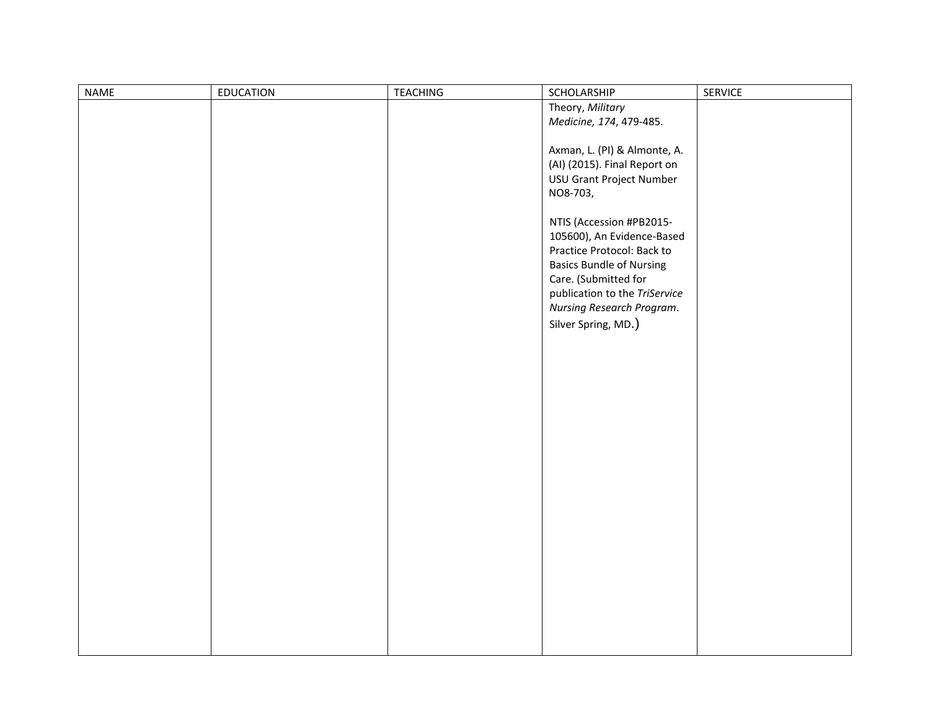| NAME | EDUCATION | <b>TEACHING</b> | SCHOLARSHIP                     | SERVICE |
|------|-----------|-----------------|---------------------------------|---------|
|      |           |                 | Theory, Military                |         |
|      |           |                 | Medicine, 174, 479-485.         |         |
|      |           |                 |                                 |         |
|      |           |                 | Axman, L. (PI) & Almonte, A.    |         |
|      |           |                 | (AI) (2015). Final Report on    |         |
|      |           |                 | USU Grant Project Number        |         |
|      |           |                 | NO8-703,                        |         |
|      |           |                 |                                 |         |
|      |           |                 | NTIS (Accession #PB2015-        |         |
|      |           |                 | 105600), An Evidence-Based      |         |
|      |           |                 | Practice Protocol: Back to      |         |
|      |           |                 | <b>Basics Bundle of Nursing</b> |         |
|      |           |                 | Care. (Submitted for            |         |
|      |           |                 | publication to the TriService   |         |
|      |           |                 | Nursing Research Program.       |         |
|      |           |                 |                                 |         |
|      |           |                 | Silver Spring, MD.)             |         |
|      |           |                 |                                 |         |
|      |           |                 |                                 |         |
|      |           |                 |                                 |         |
|      |           |                 |                                 |         |
|      |           |                 |                                 |         |
|      |           |                 |                                 |         |
|      |           |                 |                                 |         |
|      |           |                 |                                 |         |
|      |           |                 |                                 |         |
|      |           |                 |                                 |         |
|      |           |                 |                                 |         |
|      |           |                 |                                 |         |
|      |           |                 |                                 |         |
|      |           |                 |                                 |         |
|      |           |                 |                                 |         |
|      |           |                 |                                 |         |
|      |           |                 |                                 |         |
|      |           |                 |                                 |         |
|      |           |                 |                                 |         |
|      |           |                 |                                 |         |
|      |           |                 |                                 |         |
|      |           |                 |                                 |         |
|      |           |                 |                                 |         |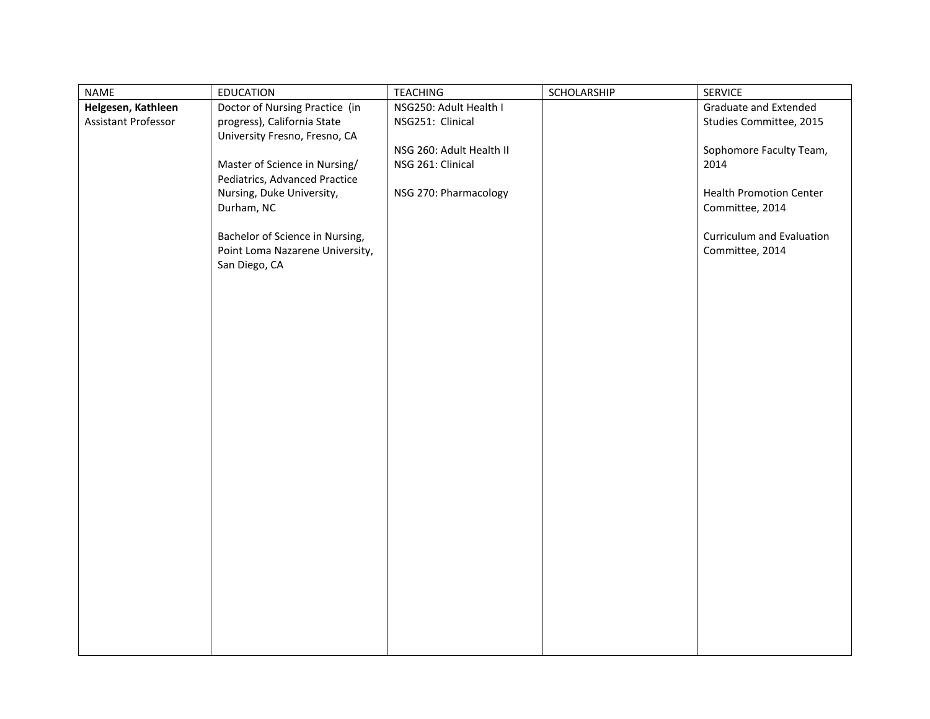| NAME                | <b>EDUCATION</b>                | <b>TEACHING</b>          | SCHOLARSHIP | <b>SERVICE</b>                 |
|---------------------|---------------------------------|--------------------------|-------------|--------------------------------|
| Helgesen, Kathleen  | Doctor of Nursing Practice (in  | NSG250: Adult Health I   |             | <b>Graduate and Extended</b>   |
| Assistant Professor | progress), California State     | NSG251: Clinical         |             | Studies Committee, 2015        |
|                     | University Fresno, Fresno, CA   |                          |             |                                |
|                     |                                 | NSG 260: Adult Health II |             | Sophomore Faculty Team,        |
|                     | Master of Science in Nursing/   | NSG 261: Clinical        |             | 2014                           |
|                     | Pediatrics, Advanced Practice   |                          |             |                                |
|                     | Nursing, Duke University,       | NSG 270: Pharmacology    |             | <b>Health Promotion Center</b> |
|                     | Durham, NC                      |                          |             | Committee, 2014                |
|                     |                                 |                          |             |                                |
|                     | Bachelor of Science in Nursing, |                          |             | Curriculum and Evaluation      |
|                     | Point Loma Nazarene University, |                          |             | Committee, 2014                |
|                     | San Diego, CA                   |                          |             |                                |
|                     |                                 |                          |             |                                |
|                     |                                 |                          |             |                                |
|                     |                                 |                          |             |                                |
|                     |                                 |                          |             |                                |
|                     |                                 |                          |             |                                |
|                     |                                 |                          |             |                                |
|                     |                                 |                          |             |                                |
|                     |                                 |                          |             |                                |
|                     |                                 |                          |             |                                |
|                     |                                 |                          |             |                                |
|                     |                                 |                          |             |                                |
|                     |                                 |                          |             |                                |
|                     |                                 |                          |             |                                |
|                     |                                 |                          |             |                                |
|                     |                                 |                          |             |                                |
|                     |                                 |                          |             |                                |
|                     |                                 |                          |             |                                |
|                     |                                 |                          |             |                                |
|                     |                                 |                          |             |                                |
|                     |                                 |                          |             |                                |
|                     |                                 |                          |             |                                |
|                     |                                 |                          |             |                                |
|                     |                                 |                          |             |                                |
|                     |                                 |                          |             |                                |
|                     |                                 |                          |             |                                |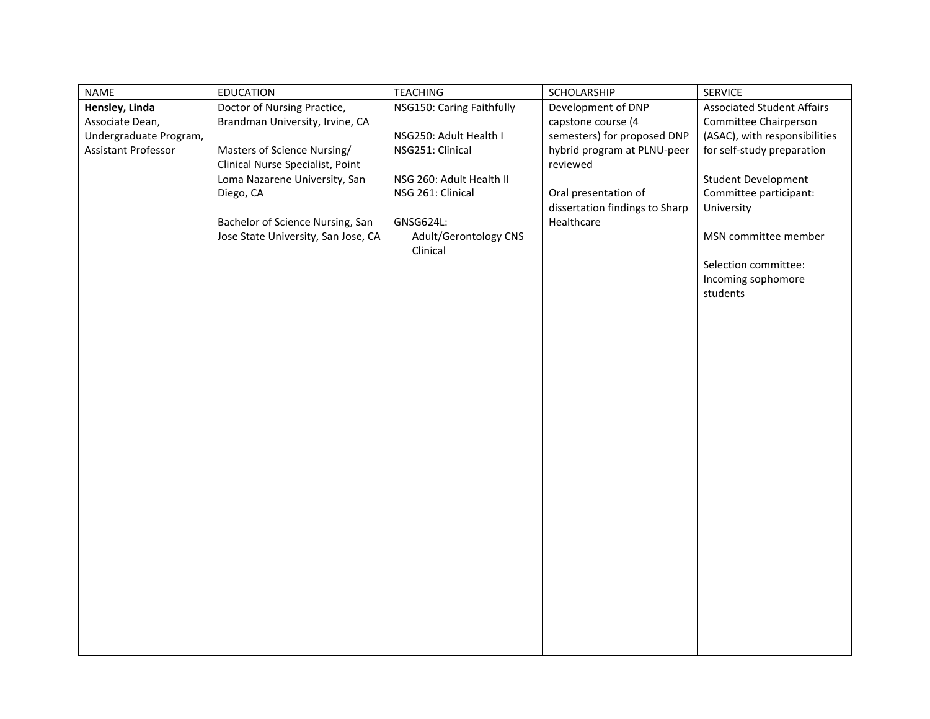| <b>NAME</b>            | <b>EDUCATION</b>                    | <b>TEACHING</b>                   | SCHOLARSHIP                    | <b>SERVICE</b>                    |
|------------------------|-------------------------------------|-----------------------------------|--------------------------------|-----------------------------------|
| Hensley, Linda         | Doctor of Nursing Practice,         | NSG150: Caring Faithfully         | Development of DNP             | <b>Associated Student Affairs</b> |
| Associate Dean,        | Brandman University, Irvine, CA     |                                   | capstone course (4             | Committee Chairperson             |
| Undergraduate Program, |                                     | NSG250: Adult Health I            | semesters) for proposed DNP    | (ASAC), with responsibilities     |
| Assistant Professor    | Masters of Science Nursing/         | NSG251: Clinical                  | hybrid program at PLNU-peer    | for self-study preparation        |
|                        | Clinical Nurse Specialist, Point    |                                   | reviewed                       |                                   |
|                        | Loma Nazarene University, San       | NSG 260: Adult Health II          |                                | <b>Student Development</b>        |
|                        | Diego, CA                           | NSG 261: Clinical                 | Oral presentation of           | Committee participant:            |
|                        |                                     |                                   | dissertation findings to Sharp | University                        |
|                        | Bachelor of Science Nursing, San    | GNSG624L:                         | Healthcare                     |                                   |
|                        | Jose State University, San Jose, CA | Adult/Gerontology CNS<br>Clinical |                                | MSN committee member              |
|                        |                                     |                                   |                                | Selection committee:              |
|                        |                                     |                                   |                                | Incoming sophomore                |
|                        |                                     |                                   |                                | students                          |
|                        |                                     |                                   |                                |                                   |
|                        |                                     |                                   |                                |                                   |
|                        |                                     |                                   |                                |                                   |
|                        |                                     |                                   |                                |                                   |
|                        |                                     |                                   |                                |                                   |
|                        |                                     |                                   |                                |                                   |
|                        |                                     |                                   |                                |                                   |
|                        |                                     |                                   |                                |                                   |
|                        |                                     |                                   |                                |                                   |
|                        |                                     |                                   |                                |                                   |
|                        |                                     |                                   |                                |                                   |
|                        |                                     |                                   |                                |                                   |
|                        |                                     |                                   |                                |                                   |
|                        |                                     |                                   |                                |                                   |
|                        |                                     |                                   |                                |                                   |
|                        |                                     |                                   |                                |                                   |
|                        |                                     |                                   |                                |                                   |
|                        |                                     |                                   |                                |                                   |
|                        |                                     |                                   |                                |                                   |
|                        |                                     |                                   |                                |                                   |
|                        |                                     |                                   |                                |                                   |
|                        |                                     |                                   |                                |                                   |
|                        |                                     |                                   |                                |                                   |
|                        |                                     |                                   |                                |                                   |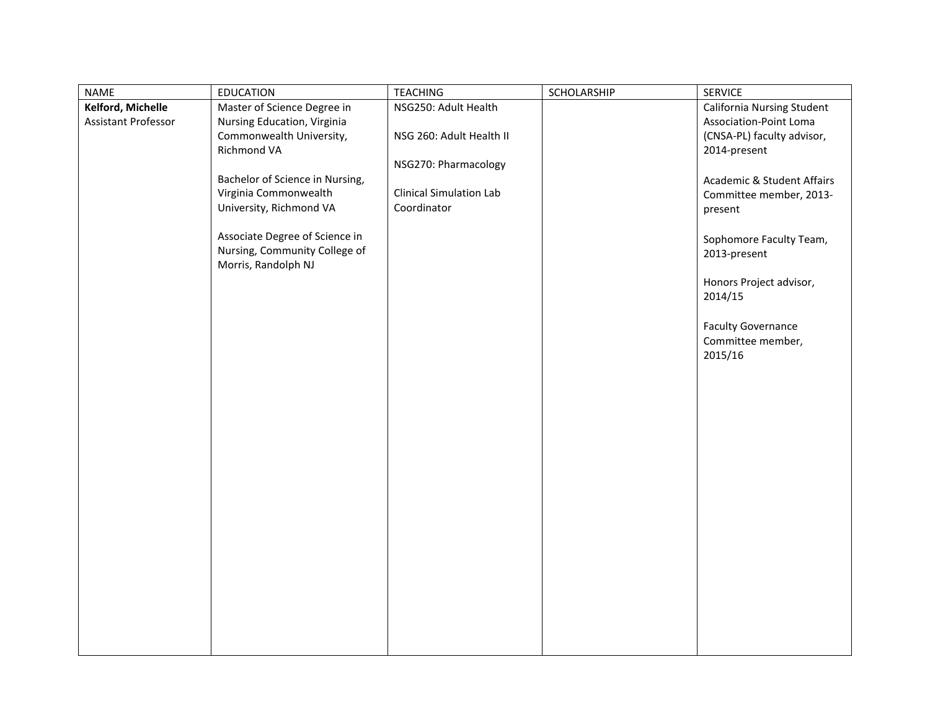| <b>NAME</b><br><b>EDUCATION</b><br><b>TEACHING</b>                                                                                                                                                                                                                                                                                                                                                                                                              | SCHOLARSHIP<br><b>SERVICE</b>                                                                                                                                                                                                                                                                                        |
|-----------------------------------------------------------------------------------------------------------------------------------------------------------------------------------------------------------------------------------------------------------------------------------------------------------------------------------------------------------------------------------------------------------------------------------------------------------------|----------------------------------------------------------------------------------------------------------------------------------------------------------------------------------------------------------------------------------------------------------------------------------------------------------------------|
| Kelford, Michelle<br>Master of Science Degree in<br>NSG250: Adult Health<br>Assistant Professor<br>Nursing Education, Virginia<br>Commonwealth University,<br>NSG 260: Adult Health II<br>Richmond VA<br>NSG270: Pharmacology<br>Bachelor of Science in Nursing,<br>Virginia Commonwealth<br><b>Clinical Simulation Lab</b><br>University, Richmond VA<br>Coordinator<br>Associate Degree of Science in<br>Nursing, Community College of<br>Morris, Randolph NJ | California Nursing Student<br>Association-Point Loma<br>(CNSA-PL) faculty advisor,<br>2014-present<br>Academic & Student Affairs<br>Committee member, 2013-<br>present<br>Sophomore Faculty Team,<br>2013-present<br>Honors Project advisor,<br>2014/15<br><b>Faculty Governance</b><br>Committee member,<br>2015/16 |
|                                                                                                                                                                                                                                                                                                                                                                                                                                                                 |                                                                                                                                                                                                                                                                                                                      |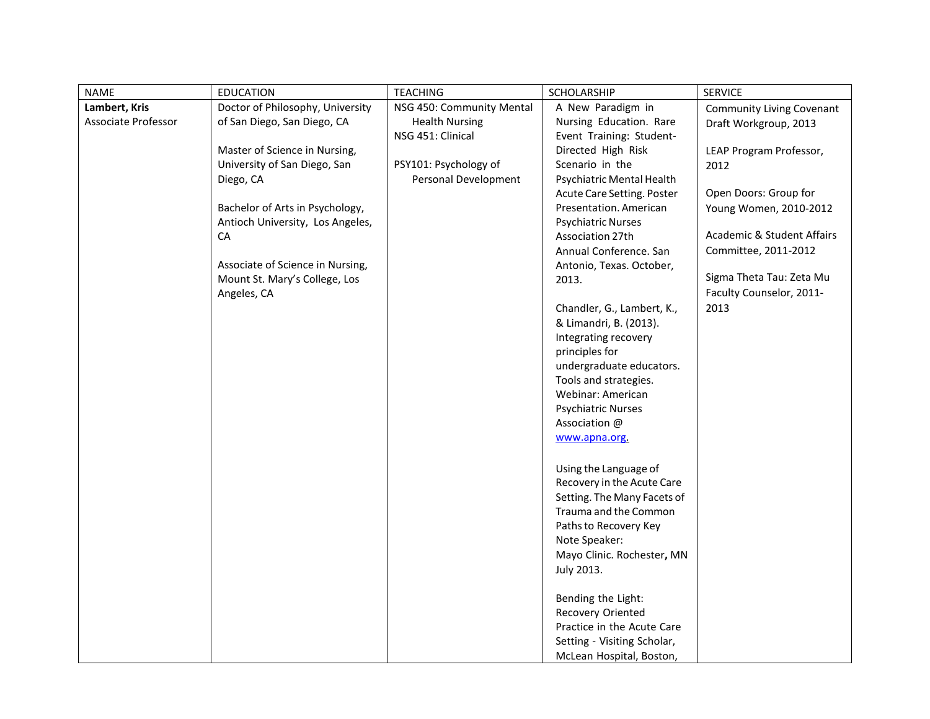| <b>NAME</b>         | <b>EDUCATION</b>                                                  | <b>TEACHING</b>           | SCHOLARSHIP                       | <b>SERVICE</b>                        |
|---------------------|-------------------------------------------------------------------|---------------------------|-----------------------------------|---------------------------------------|
| Lambert, Kris       | Doctor of Philosophy, University                                  | NSG 450: Community Mental | A New Paradigm in                 | Community Living Covenant             |
| Associate Professor | of San Diego, San Diego, CA                                       | <b>Health Nursing</b>     | Nursing Education. Rare           | Draft Workgroup, 2013                 |
|                     |                                                                   | NSG 451: Clinical         | Event Training: Student-          |                                       |
|                     | Master of Science in Nursing,                                     |                           | Directed High Risk                | LEAP Program Professor,               |
|                     | University of San Diego, San                                      | PSY101: Psychology of     | Scenario in the                   | 2012                                  |
|                     | Diego, CA                                                         | Personal Development      | Psychiatric Mental Health         |                                       |
|                     |                                                                   |                           | Acute Care Setting. Poster        | Open Doors: Group for                 |
|                     | Bachelor of Arts in Psychology,                                   |                           | Presentation. American            | Young Women, 2010-2012                |
|                     | Antioch University, Los Angeles,                                  |                           | <b>Psychiatric Nurses</b>         | <b>Academic &amp; Student Affairs</b> |
|                     | CA                                                                |                           | Association 27th                  |                                       |
|                     |                                                                   |                           | Annual Conference, San            | Committee, 2011-2012                  |
|                     | Associate of Science in Nursing,<br>Mount St. Mary's College, Los |                           | Antonio, Texas. October,<br>2013. | Sigma Theta Tau: Zeta Mu              |
|                     | Angeles, CA                                                       |                           |                                   | Faculty Counselor, 2011-              |
|                     |                                                                   |                           | Chandler, G., Lambert, K.,        | 2013                                  |
|                     |                                                                   |                           | & Limandri, B. (2013).            |                                       |
|                     |                                                                   |                           | Integrating recovery              |                                       |
|                     |                                                                   |                           | principles for                    |                                       |
|                     |                                                                   |                           | undergraduate educators.          |                                       |
|                     |                                                                   |                           | Tools and strategies.             |                                       |
|                     |                                                                   |                           | Webinar: American                 |                                       |
|                     |                                                                   |                           | <b>Psychiatric Nurses</b>         |                                       |
|                     |                                                                   |                           | Association @                     |                                       |
|                     |                                                                   |                           | www.apna.org.                     |                                       |
|                     |                                                                   |                           |                                   |                                       |
|                     |                                                                   |                           | Using the Language of             |                                       |
|                     |                                                                   |                           | Recovery in the Acute Care        |                                       |
|                     |                                                                   |                           | Setting. The Many Facets of       |                                       |
|                     |                                                                   |                           | Trauma and the Common             |                                       |
|                     |                                                                   |                           | Paths to Recovery Key             |                                       |
|                     |                                                                   |                           | Note Speaker:                     |                                       |
|                     |                                                                   |                           | Mayo Clinic. Rochester, MN        |                                       |
|                     |                                                                   |                           | July 2013.                        |                                       |
|                     |                                                                   |                           |                                   |                                       |
|                     |                                                                   |                           | Bending the Light:                |                                       |
|                     |                                                                   |                           | Recovery Oriented                 |                                       |
|                     |                                                                   |                           | Practice in the Acute Care        |                                       |
|                     |                                                                   |                           | Setting - Visiting Scholar,       |                                       |
|                     |                                                                   |                           | McLean Hospital, Boston,          |                                       |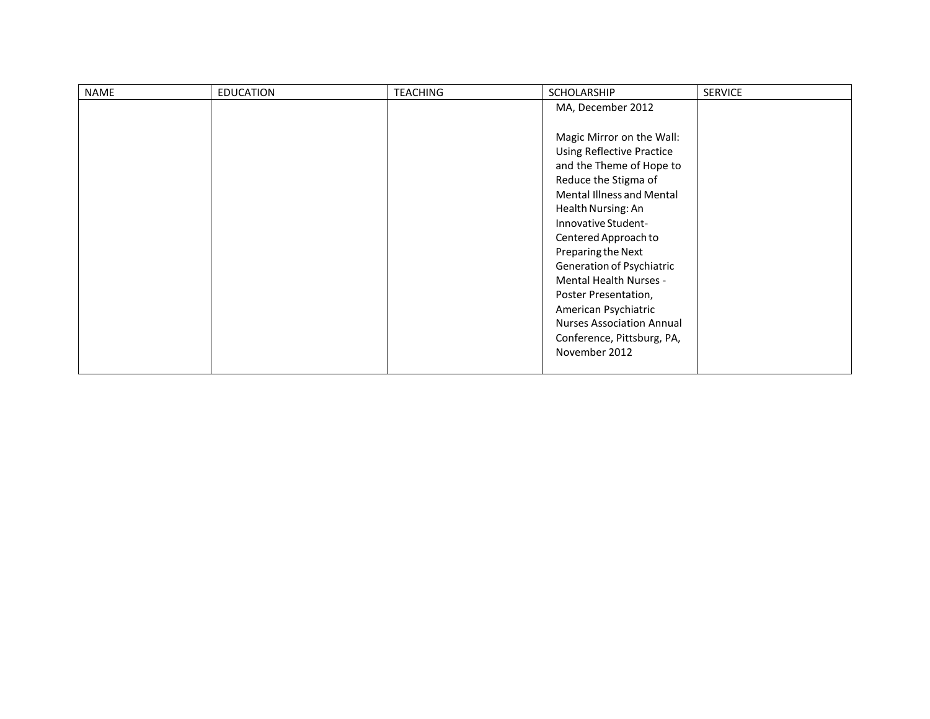| <b>NAME</b> | <b>EDUCATION</b> | <b>TEACHING</b> | <b>SCHOLARSHIP</b>               | <b>SERVICE</b> |
|-------------|------------------|-----------------|----------------------------------|----------------|
|             |                  |                 | MA, December 2012                |                |
|             |                  |                 |                                  |                |
|             |                  |                 | Magic Mirror on the Wall:        |                |
|             |                  |                 | <b>Using Reflective Practice</b> |                |
|             |                  |                 | and the Theme of Hope to         |                |
|             |                  |                 | Reduce the Stigma of             |                |
|             |                  |                 | <b>Mental Illness and Mental</b> |                |
|             |                  |                 | Health Nursing: An               |                |
|             |                  |                 | Innovative Student-              |                |
|             |                  |                 | Centered Approach to             |                |
|             |                  |                 | Preparing the Next               |                |
|             |                  |                 | Generation of Psychiatric        |                |
|             |                  |                 | Mental Health Nurses -           |                |
|             |                  |                 | Poster Presentation,             |                |
|             |                  |                 | American Psychiatric             |                |
|             |                  |                 | <b>Nurses Association Annual</b> |                |
|             |                  |                 | Conference, Pittsburg, PA,       |                |
|             |                  |                 | November 2012                    |                |
|             |                  |                 |                                  |                |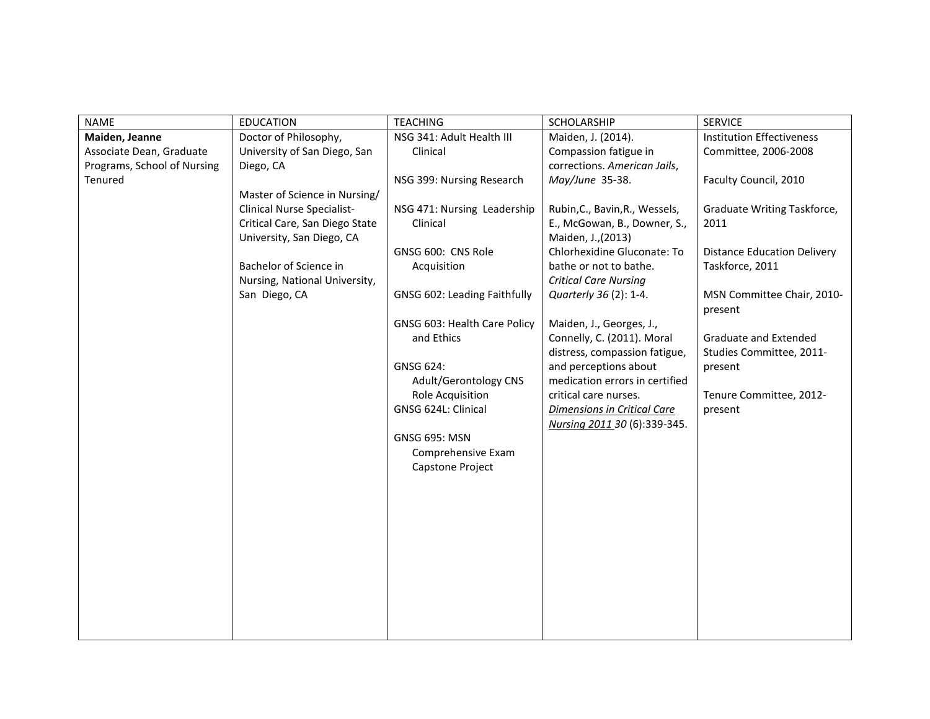| <b>NAME</b>                 | <b>EDUCATION</b>               | <b>TEACHING</b>              | SCHOLARSHIP                    | <b>SERVICE</b>                     |
|-----------------------------|--------------------------------|------------------------------|--------------------------------|------------------------------------|
| Maiden, Jeanne              | Doctor of Philosophy,          | NSG 341: Adult Health III    | Maiden, J. (2014).             | <b>Institution Effectiveness</b>   |
| Associate Dean, Graduate    | University of San Diego, San   | Clinical                     | Compassion fatigue in          | Committee, 2006-2008               |
| Programs, School of Nursing | Diego, CA                      |                              | corrections. American Jails,   |                                    |
| Tenured                     |                                | NSG 399: Nursing Research    | May/June 35-38.                | Faculty Council, 2010              |
|                             | Master of Science in Nursing/  |                              |                                |                                    |
|                             | Clinical Nurse Specialist-     | NSG 471: Nursing Leadership  | Rubin, C., Bavin, R., Wessels, | Graduate Writing Taskforce,        |
|                             | Critical Care, San Diego State | Clinical                     | E., McGowan, B., Downer, S.,   | 2011                               |
|                             | University, San Diego, CA      |                              | Maiden, J., (2013)             |                                    |
|                             |                                | GNSG 600: CNS Role           | Chlorhexidine Gluconate: To    | <b>Distance Education Delivery</b> |
|                             | Bachelor of Science in         | Acquisition                  | bathe or not to bathe.         | Taskforce, 2011                    |
|                             | Nursing, National University,  |                              | <b>Critical Care Nursing</b>   |                                    |
|                             | San Diego, CA                  | GNSG 602: Leading Faithfully | Quarterly 36 (2): 1-4.         | MSN Committee Chair, 2010-         |
|                             |                                |                              |                                | present                            |
|                             |                                | GNSG 603: Health Care Policy | Maiden, J., Georges, J.,       |                                    |
|                             |                                | and Ethics                   | Connelly, C. (2011). Moral     | Graduate and Extended              |
|                             |                                |                              | distress, compassion fatigue,  | Studies Committee, 2011-           |
|                             |                                | GNSG 624:                    | and perceptions about          | present                            |
|                             |                                | Adult/Gerontology CNS        | medication errors in certified |                                    |
|                             |                                | Role Acquisition             | critical care nurses.          | Tenure Committee, 2012-            |
|                             |                                | GNSG 624L: Clinical          | Dimensions in Critical Care    | present                            |
|                             |                                |                              | Nursing 2011 30 (6):339-345.   |                                    |
|                             |                                | <b>GNSG 695: MSN</b>         |                                |                                    |
|                             |                                | Comprehensive Exam           |                                |                                    |
|                             |                                | Capstone Project             |                                |                                    |
|                             |                                |                              |                                |                                    |
|                             |                                |                              |                                |                                    |
|                             |                                |                              |                                |                                    |
|                             |                                |                              |                                |                                    |
|                             |                                |                              |                                |                                    |
|                             |                                |                              |                                |                                    |
|                             |                                |                              |                                |                                    |
|                             |                                |                              |                                |                                    |
|                             |                                |                              |                                |                                    |
|                             |                                |                              |                                |                                    |
|                             |                                |                              |                                |                                    |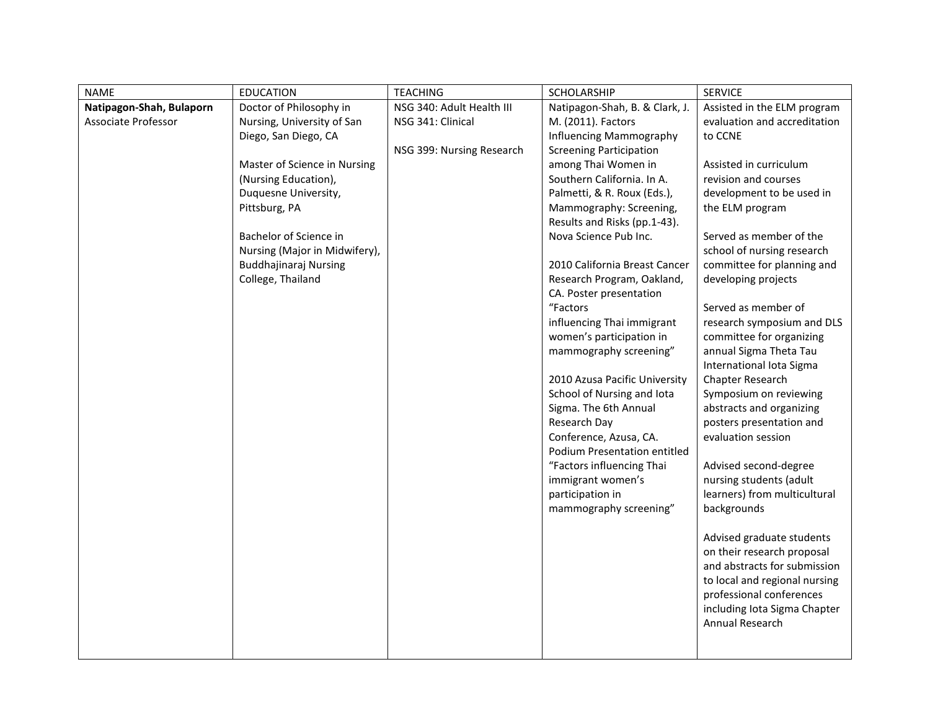| <b>NAME</b>              | <b>EDUCATION</b>              | <b>TEACHING</b>           | SCHOLARSHIP                                            | <b>SERVICE</b>                                 |
|--------------------------|-------------------------------|---------------------------|--------------------------------------------------------|------------------------------------------------|
| Natipagon-Shah, Bulaporn | Doctor of Philosophy in       | NSG 340: Adult Health III | Natipagon-Shah, B. & Clark, J.                         | Assisted in the ELM program                    |
| Associate Professor      | Nursing, University of San    | NSG 341: Clinical         | M. (2011). Factors                                     | evaluation and accreditation                   |
|                          | Diego, San Diego, CA          |                           | Influencing Mammography                                | to CCNE                                        |
|                          |                               | NSG 399: Nursing Research | <b>Screening Participation</b>                         |                                                |
|                          | Master of Science in Nursing  |                           | among Thai Women in                                    | Assisted in curriculum                         |
|                          | (Nursing Education),          |                           | Southern California. In A.                             | revision and courses                           |
|                          | Duquesne University,          |                           | Palmetti, & R. Roux (Eds.),                            | development to be used in                      |
|                          | Pittsburg, PA                 |                           | Mammography: Screening,                                | the ELM program                                |
|                          |                               |                           | Results and Risks (pp.1-43).                           |                                                |
|                          | Bachelor of Science in        |                           | Nova Science Pub Inc.                                  | Served as member of the                        |
|                          | Nursing (Major in Midwifery), |                           |                                                        | school of nursing research                     |
|                          | <b>Buddhajinaraj Nursing</b>  |                           | 2010 California Breast Cancer                          | committee for planning and                     |
|                          | College, Thailand             |                           | Research Program, Oakland,                             | developing projects                            |
|                          |                               |                           | CA. Poster presentation                                |                                                |
|                          |                               |                           | "Factors                                               | Served as member of                            |
|                          |                               |                           | influencing Thai immigrant                             | research symposium and DLS                     |
|                          |                               |                           | women's participation in                               | committee for organizing                       |
|                          |                               |                           | mammography screening"                                 | annual Sigma Theta Tau                         |
|                          |                               |                           |                                                        | International Iota Sigma                       |
|                          |                               |                           | 2010 Azusa Pacific University                          | Chapter Research                               |
|                          |                               |                           | School of Nursing and lota                             | Symposium on reviewing                         |
|                          |                               |                           | Sigma. The 6th Annual                                  | abstracts and organizing                       |
|                          |                               |                           | Research Day                                           | posters presentation and<br>evaluation session |
|                          |                               |                           | Conference, Azusa, CA.<br>Podium Presentation entitled |                                                |
|                          |                               |                           | "Factors influencing Thai                              | Advised second-degree                          |
|                          |                               |                           | immigrant women's                                      | nursing students (adult                        |
|                          |                               |                           |                                                        | learners) from multicultural                   |
|                          |                               |                           | participation in<br>mammography screening"             | backgrounds                                    |
|                          |                               |                           |                                                        |                                                |
|                          |                               |                           |                                                        | Advised graduate students                      |
|                          |                               |                           |                                                        | on their research proposal                     |
|                          |                               |                           |                                                        | and abstracts for submission                   |
|                          |                               |                           |                                                        | to local and regional nursing                  |
|                          |                               |                           |                                                        | professional conferences                       |
|                          |                               |                           |                                                        | including Iota Sigma Chapter                   |
|                          |                               |                           |                                                        | Annual Research                                |
|                          |                               |                           |                                                        |                                                |
|                          |                               |                           |                                                        |                                                |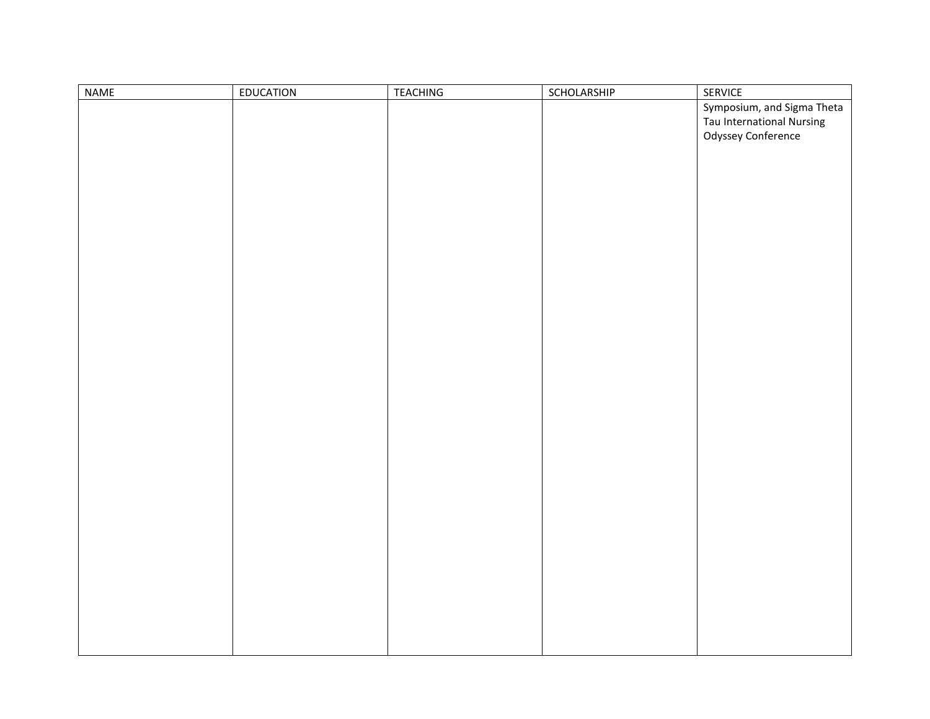| NAME | EDUCATION | TEACHING | SCHOLARSHIP | SERVICE                    |
|------|-----------|----------|-------------|----------------------------|
|      |           |          |             | Symposium, and Sigma Theta |
|      |           |          |             | Tau International Nursing  |
|      |           |          |             | Odyssey Conference         |
|      |           |          |             |                            |
|      |           |          |             |                            |
|      |           |          |             |                            |
|      |           |          |             |                            |
|      |           |          |             |                            |
|      |           |          |             |                            |
|      |           |          |             |                            |
|      |           |          |             |                            |
|      |           |          |             |                            |
|      |           |          |             |                            |
|      |           |          |             |                            |
|      |           |          |             |                            |
|      |           |          |             |                            |
|      |           |          |             |                            |
|      |           |          |             |                            |
|      |           |          |             |                            |
|      |           |          |             |                            |
|      |           |          |             |                            |
|      |           |          |             |                            |
|      |           |          |             |                            |
|      |           |          |             |                            |
|      |           |          |             |                            |
|      |           |          |             |                            |
|      |           |          |             |                            |
|      |           |          |             |                            |
|      |           |          |             |                            |
|      |           |          |             |                            |
|      |           |          |             |                            |
|      |           |          |             |                            |
|      |           |          |             |                            |
|      |           |          |             |                            |
|      |           |          |             |                            |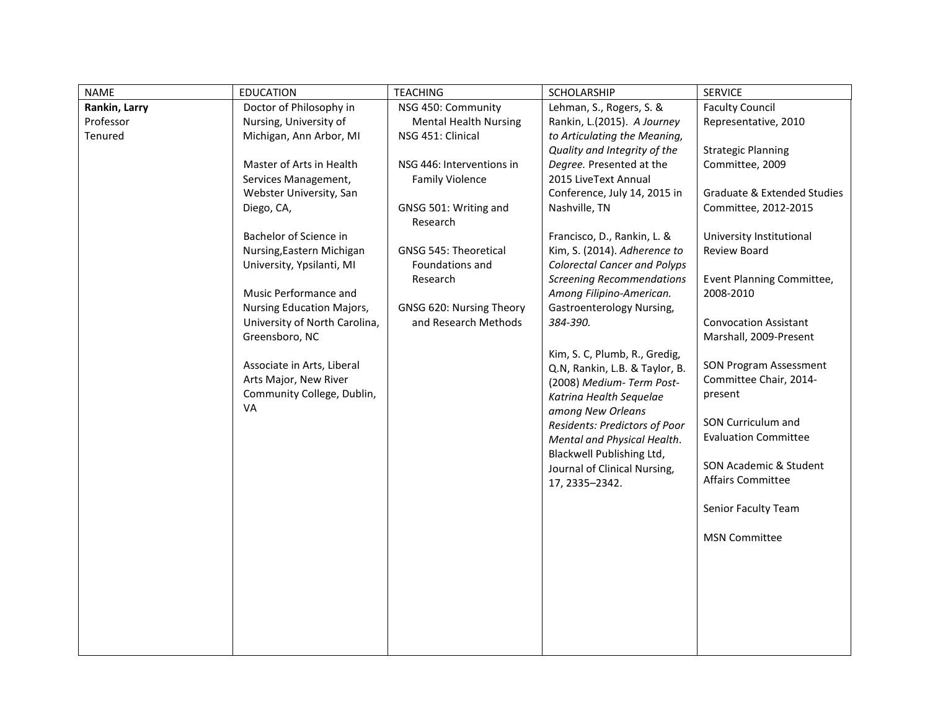| <b>NAME</b>   | <b>EDUCATION</b>              | <b>TEACHING</b>                   | SCHOLARSHIP                         | <b>SERVICE</b>                         |
|---------------|-------------------------------|-----------------------------------|-------------------------------------|----------------------------------------|
| Rankin, Larry | Doctor of Philosophy in       | NSG 450: Community                | Lehman, S., Rogers, S. &            | <b>Faculty Council</b>                 |
| Professor     | Nursing, University of        | <b>Mental Health Nursing</b>      | Rankin, L.(2015). A Journey         | Representative, 2010                   |
| Tenured       | Michigan, Ann Arbor, MI       | NSG 451: Clinical                 | to Articulating the Meaning,        |                                        |
|               |                               |                                   | Quality and Integrity of the        | <b>Strategic Planning</b>              |
|               | Master of Arts in Health      | NSG 446: Interventions in         | Degree. Presented at the            | Committee, 2009                        |
|               | Services Management,          | <b>Family Violence</b>            | 2015 LiveText Annual                |                                        |
|               | Webster University, San       |                                   | Conference, July 14, 2015 in        | <b>Graduate &amp; Extended Studies</b> |
|               | Diego, CA,                    | GNSG 501: Writing and<br>Research | Nashville, TN                       | Committee, 2012-2015                   |
|               | Bachelor of Science in        |                                   | Francisco, D., Rankin, L. &         | University Institutional               |
|               | Nursing, Eastern Michigan     | GNSG 545: Theoretical             | Kim, S. (2014). Adherence to        | Review Board                           |
|               | University, Ypsilanti, MI     | Foundations and                   | <b>Colorectal Cancer and Polyps</b> |                                        |
|               |                               | Research                          | <b>Screening Recommendations</b>    | Event Planning Committee,              |
|               | Music Performance and         |                                   | Among Filipino-American.            | 2008-2010                              |
|               | Nursing Education Majors,     | GNSG 620: Nursing Theory          | Gastroenterology Nursing,           |                                        |
|               | University of North Carolina, | and Research Methods              | 384-390.                            | <b>Convocation Assistant</b>           |
|               | Greensboro, NC                |                                   |                                     | Marshall, 2009-Present                 |
|               |                               |                                   | Kim, S. C, Plumb, R., Gredig,       |                                        |
|               | Associate in Arts, Liberal    |                                   | Q.N, Rankin, L.B. & Taylor, B.      | <b>SON Program Assessment</b>          |
|               | Arts Major, New River         |                                   | (2008) Medium-Term Post-            | Committee Chair, 2014-                 |
|               | Community College, Dublin,    |                                   | Katrina Health Sequelae             | present                                |
|               | VA                            |                                   | among New Orleans                   |                                        |
|               |                               |                                   | Residents: Predictors of Poor       | SON Curriculum and                     |
|               |                               |                                   | Mental and Physical Health.         | <b>Evaluation Committee</b>            |
|               |                               |                                   | Blackwell Publishing Ltd,           | SON Academic & Student                 |
|               |                               |                                   | Journal of Clinical Nursing,        | Affairs Committee                      |
|               |                               |                                   | 17, 2335-2342.                      |                                        |
|               |                               |                                   |                                     | Senior Faculty Team                    |
|               |                               |                                   |                                     | <b>MSN Committee</b>                   |
|               |                               |                                   |                                     |                                        |
|               |                               |                                   |                                     |                                        |
|               |                               |                                   |                                     |                                        |
|               |                               |                                   |                                     |                                        |
|               |                               |                                   |                                     |                                        |
|               |                               |                                   |                                     |                                        |
|               |                               |                                   |                                     |                                        |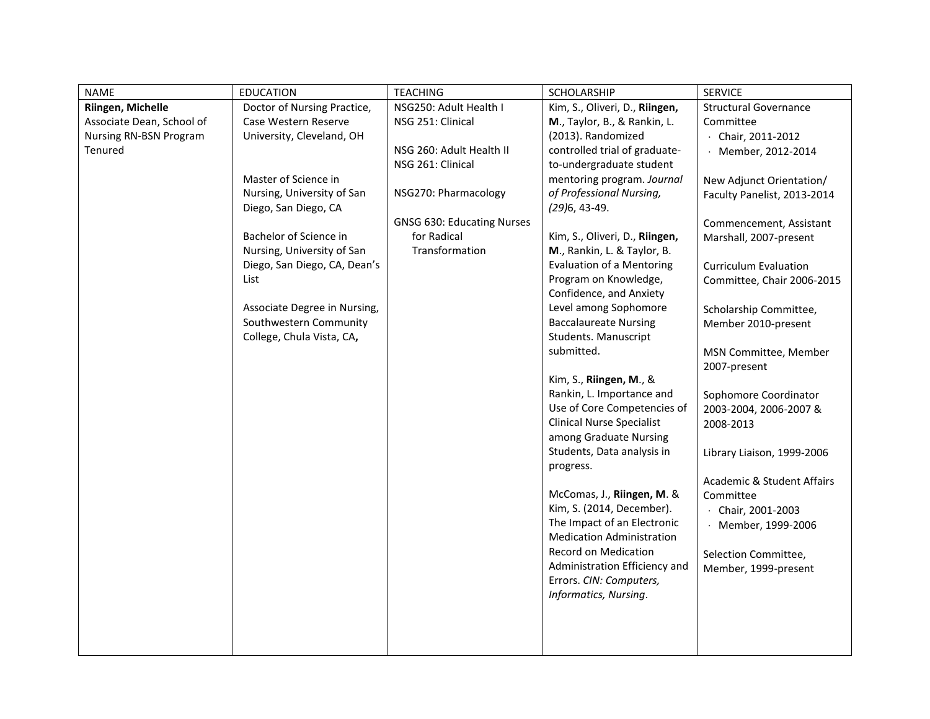| <b>NAME</b>                                                                                | <b>EDUCATION</b>                                                                                                                                                                                                                                                                                                                                      | <b>TEACHING</b>                                                                                                                                                                            | SCHOLARSHIP                                                                                                                                                                                                                                                                                                                                                                                                                                                                                                                                                                                                                                                                                                                                                                                                                                                                                                                       | <b>SERVICE</b>                                                                                                                                                                                                                                                                                                                                                                                                                                                                                                                                                                                                            |
|--------------------------------------------------------------------------------------------|-------------------------------------------------------------------------------------------------------------------------------------------------------------------------------------------------------------------------------------------------------------------------------------------------------------------------------------------------------|--------------------------------------------------------------------------------------------------------------------------------------------------------------------------------------------|-----------------------------------------------------------------------------------------------------------------------------------------------------------------------------------------------------------------------------------------------------------------------------------------------------------------------------------------------------------------------------------------------------------------------------------------------------------------------------------------------------------------------------------------------------------------------------------------------------------------------------------------------------------------------------------------------------------------------------------------------------------------------------------------------------------------------------------------------------------------------------------------------------------------------------------|---------------------------------------------------------------------------------------------------------------------------------------------------------------------------------------------------------------------------------------------------------------------------------------------------------------------------------------------------------------------------------------------------------------------------------------------------------------------------------------------------------------------------------------------------------------------------------------------------------------------------|
| Riingen, Michelle<br>Associate Dean, School of<br><b>Nursing RN-BSN Program</b><br>Tenured | Doctor of Nursing Practice,<br>Case Western Reserve<br>University, Cleveland, OH<br>Master of Science in<br>Nursing, University of San<br>Diego, San Diego, CA<br>Bachelor of Science in<br>Nursing, University of San<br>Diego, San Diego, CA, Dean's<br>List<br>Associate Degree in Nursing,<br>Southwestern Community<br>College, Chula Vista, CA, | NSG250: Adult Health I<br>NSG 251: Clinical<br>NSG 260: Adult Health II<br>NSG 261: Clinical<br>NSG270: Pharmacology<br><b>GNSG 630: Educating Nurses</b><br>for Radical<br>Transformation | Kim, S., Oliveri, D., Riingen,<br>M., Taylor, B., & Rankin, L.<br>(2013). Randomized<br>controlled trial of graduate-<br>to-undergraduate student<br>mentoring program. Journal<br>of Professional Nursing,<br>$(29)6, 43-49.$<br>Kim, S., Oliveri, D., Riingen,<br>M., Rankin, L. & Taylor, B.<br><b>Evaluation of a Mentoring</b><br>Program on Knowledge,<br>Confidence, and Anxiety<br>Level among Sophomore<br><b>Baccalaureate Nursing</b><br>Students. Manuscript<br>submitted.<br>Kim, S., Riingen, M., &<br>Rankin, L. Importance and<br>Use of Core Competencies of<br><b>Clinical Nurse Specialist</b><br>among Graduate Nursing<br>Students, Data analysis in<br>progress.<br>McComas, J., Riingen, M. &<br>Kim, S. (2014, December).<br>The Impact of an Electronic<br><b>Medication Administration</b><br>Record on Medication<br>Administration Efficiency and<br>Errors. CIN: Computers,<br>Informatics, Nursing. | <b>Structural Governance</b><br>Committee<br>$\cdot$ Chair, 2011-2012<br>· Member, 2012-2014<br>New Adjunct Orientation/<br>Faculty Panelist, 2013-2014<br>Commencement, Assistant<br>Marshall, 2007-present<br><b>Curriculum Evaluation</b><br>Committee, Chair 2006-2015<br>Scholarship Committee,<br>Member 2010-present<br>MSN Committee, Member<br>2007-present<br>Sophomore Coordinator<br>2003-2004, 2006-2007 &<br>2008-2013<br>Library Liaison, 1999-2006<br><b>Academic &amp; Student Affairs</b><br>Committee<br>$\cdot$ Chair, 2001-2003<br>Member, 1999-2006<br>Selection Committee,<br>Member, 1999-present |
|                                                                                            |                                                                                                                                                                                                                                                                                                                                                       |                                                                                                                                                                                            |                                                                                                                                                                                                                                                                                                                                                                                                                                                                                                                                                                                                                                                                                                                                                                                                                                                                                                                                   |                                                                                                                                                                                                                                                                                                                                                                                                                                                                                                                                                                                                                           |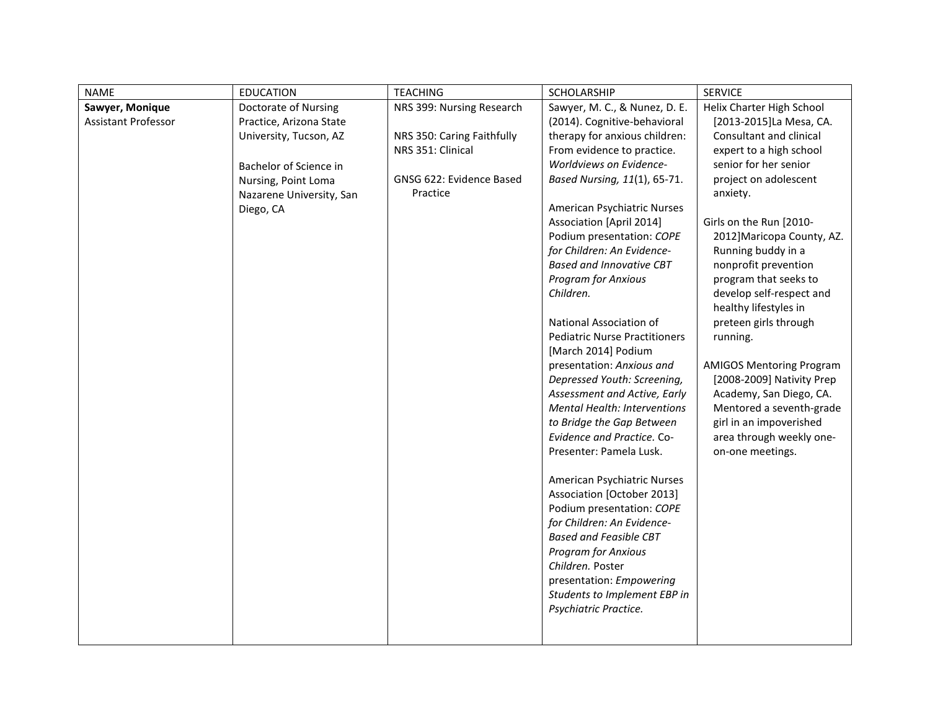| <b>NAME</b>         | <b>EDUCATION</b>         | <b>TEACHING</b>            | <b>SCHOLARSHIP</b>                   | <b>SERVICE</b>                  |
|---------------------|--------------------------|----------------------------|--------------------------------------|---------------------------------|
| Sawyer, Monique     | Doctorate of Nursing     | NRS 399: Nursing Research  | Sawyer, M. C., & Nunez, D. E.        | Helix Charter High School       |
| Assistant Professor | Practice, Arizona State  |                            | (2014). Cognitive-behavioral         | [2013-2015]La Mesa, CA.         |
|                     | University, Tucson, AZ   | NRS 350: Caring Faithfully | therapy for anxious children:        | Consultant and clinical         |
|                     |                          | NRS 351: Clinical          | From evidence to practice.           | expert to a high school         |
|                     | Bachelor of Science in   |                            | Worldviews on Evidence-              | senior for her senior           |
|                     | Nursing, Point Loma      | GNSG 622: Evidence Based   | Based Nursing, 11(1), 65-71.         | project on adolescent           |
|                     | Nazarene University, San | Practice                   |                                      | anxiety.                        |
|                     | Diego, CA                |                            | American Psychiatric Nurses          |                                 |
|                     |                          |                            | <b>Association [April 2014]</b>      | Girls on the Run [2010-         |
|                     |                          |                            | Podium presentation: COPE            | 2012] Maricopa County, AZ.      |
|                     |                          |                            | for Children: An Evidence-           | Running buddy in a              |
|                     |                          |                            | <b>Based and Innovative CBT</b>      | nonprofit prevention            |
|                     |                          |                            | <b>Program for Anxious</b>           | program that seeks to           |
|                     |                          |                            | Children.                            | develop self-respect and        |
|                     |                          |                            |                                      | healthy lifestyles in           |
|                     |                          |                            | National Association of              | preteen girls through           |
|                     |                          |                            | <b>Pediatric Nurse Practitioners</b> | running.                        |
|                     |                          |                            | [March 2014] Podium                  |                                 |
|                     |                          |                            | presentation: Anxious and            | <b>AMIGOS Mentoring Program</b> |
|                     |                          |                            | Depressed Youth: Screening,          | [2008-2009] Nativity Prep       |
|                     |                          |                            | Assessment and Active, Early         | Academy, San Diego, CA.         |
|                     |                          |                            | <b>Mental Health: Interventions</b>  | Mentored a seventh-grade        |
|                     |                          |                            | to Bridge the Gap Between            | girl in an impoverished         |
|                     |                          |                            | Evidence and Practice. Co-           | area through weekly one-        |
|                     |                          |                            | Presenter: Pamela Lusk.              | on-one meetings.                |
|                     |                          |                            | American Psychiatric Nurses          |                                 |
|                     |                          |                            | Association [October 2013]           |                                 |
|                     |                          |                            | Podium presentation: COPE            |                                 |
|                     |                          |                            | for Children: An Evidence-           |                                 |
|                     |                          |                            | <b>Based and Feasible CBT</b>        |                                 |
|                     |                          |                            | <b>Program for Anxious</b>           |                                 |
|                     |                          |                            | Children. Poster                     |                                 |
|                     |                          |                            | presentation: Empowering             |                                 |
|                     |                          |                            | Students to Implement EBP in         |                                 |
|                     |                          |                            | Psychiatric Practice.                |                                 |
|                     |                          |                            |                                      |                                 |
|                     |                          |                            |                                      |                                 |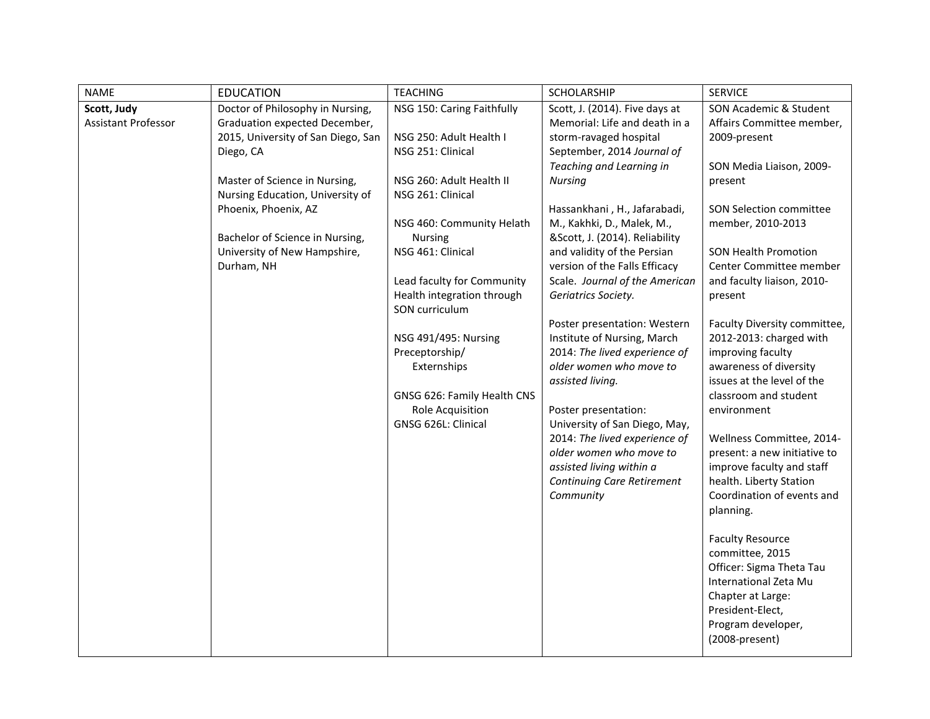| <b>NAME</b>                        | <b>EDUCATION</b>                                                                                                                                                                                                                                                                                   | <b>TEACHING</b>                                                                                                                                                                                                                                                                                                                                                                                                  | SCHOLARSHIP                                                                                                                                                                                                                                                                                                                                                                                                                                                                                                                                                                                                                                                                                                                               | <b>SERVICE</b>                                                                                                                                                                                                                                                                                                                                                                                                                                                                                                                                                                                                                                                                                                                                                                                    |
|------------------------------------|----------------------------------------------------------------------------------------------------------------------------------------------------------------------------------------------------------------------------------------------------------------------------------------------------|------------------------------------------------------------------------------------------------------------------------------------------------------------------------------------------------------------------------------------------------------------------------------------------------------------------------------------------------------------------------------------------------------------------|-------------------------------------------------------------------------------------------------------------------------------------------------------------------------------------------------------------------------------------------------------------------------------------------------------------------------------------------------------------------------------------------------------------------------------------------------------------------------------------------------------------------------------------------------------------------------------------------------------------------------------------------------------------------------------------------------------------------------------------------|---------------------------------------------------------------------------------------------------------------------------------------------------------------------------------------------------------------------------------------------------------------------------------------------------------------------------------------------------------------------------------------------------------------------------------------------------------------------------------------------------------------------------------------------------------------------------------------------------------------------------------------------------------------------------------------------------------------------------------------------------------------------------------------------------|
| Scott, Judy<br>Assistant Professor | Doctor of Philosophy in Nursing,<br>Graduation expected December,<br>2015, University of San Diego, San<br>Diego, CA<br>Master of Science in Nursing,<br>Nursing Education, University of<br>Phoenix, Phoenix, AZ<br>Bachelor of Science in Nursing,<br>University of New Hampshire,<br>Durham, NH | NSG 150: Caring Faithfully<br>NSG 250: Adult Health I<br>NSG 251: Clinical<br>NSG 260: Adult Health II<br>NSG 261: Clinical<br>NSG 460: Community Helath<br><b>Nursing</b><br>NSG 461: Clinical<br>Lead faculty for Community<br>Health integration through<br>SON curriculum<br>NSG 491/495: Nursing<br>Preceptorship/<br>Externships<br>GNSG 626: Family Health CNS<br>Role Acquisition<br>GNSG 626L: Clinical | Scott, J. (2014). Five days at<br>Memorial: Life and death in a<br>storm-ravaged hospital<br>September, 2014 Journal of<br>Teaching and Learning in<br>Nursing<br>Hassankhani, H., Jafarabadi,<br>M., Kakhki, D., Malek, M.,<br>&Scott, J. (2014). Reliability<br>and validity of the Persian<br>version of the Falls Efficacy<br>Scale. Journal of the American<br>Geriatrics Society.<br>Poster presentation: Western<br>Institute of Nursing, March<br>2014: The lived experience of<br>older women who move to<br>assisted living.<br>Poster presentation:<br>University of San Diego, May,<br>2014: The lived experience of<br>older women who move to<br>assisted living within a<br><b>Continuing Care Retirement</b><br>Community | SON Academic & Student<br>Affairs Committee member,<br>2009-present<br>SON Media Liaison, 2009-<br>present<br>SON Selection committee<br>member, 2010-2013<br><b>SON Health Promotion</b><br>Center Committee member<br>and faculty liaison, 2010-<br>present<br>Faculty Diversity committee,<br>2012-2013: charged with<br>improving faculty<br>awareness of diversity<br>issues at the level of the<br>classroom and student<br>environment<br>Wellness Committee, 2014-<br>present: a new initiative to<br>improve faculty and staff<br>health. Liberty Station<br>Coordination of events and<br>planning.<br><b>Faculty Resource</b><br>committee, 2015<br>Officer: Sigma Theta Tau<br>International Zeta Mu<br>Chapter at Large:<br>President-Elect,<br>Program developer,<br>(2008-present) |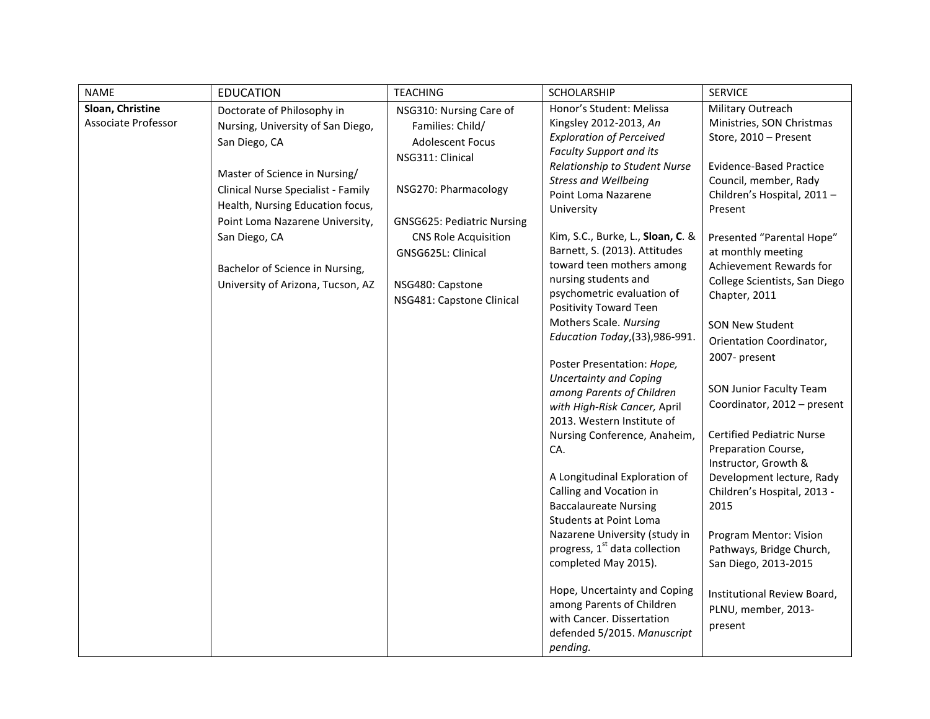| <b>NAME</b>                             | <b>EDUCATION</b>                                                                                                                                                                                                               | <b>TEACHING</b>                                                                                                                                         | SCHOLARSHIP                                                                                                                                                                                                                                                                                                                | <b>SERVICE</b>                                                                                                                                                                                                |
|-----------------------------------------|--------------------------------------------------------------------------------------------------------------------------------------------------------------------------------------------------------------------------------|---------------------------------------------------------------------------------------------------------------------------------------------------------|----------------------------------------------------------------------------------------------------------------------------------------------------------------------------------------------------------------------------------------------------------------------------------------------------------------------------|---------------------------------------------------------------------------------------------------------------------------------------------------------------------------------------------------------------|
| Sloan, Christine<br>Associate Professor | Doctorate of Philosophy in<br>Nursing, University of San Diego,<br>San Diego, CA<br>Master of Science in Nursing/<br>Clinical Nurse Specialist - Family<br>Health, Nursing Education focus,<br>Point Loma Nazarene University, | NSG310: Nursing Care of<br>Families: Child/<br><b>Adolescent Focus</b><br>NSG311: Clinical<br>NSG270: Pharmacology<br><b>GNSG625: Pediatric Nursing</b> | Honor's Student: Melissa<br>Kingsley 2012-2013, An<br><b>Exploration of Perceived</b><br><b>Faculty Support and its</b><br>Relationship to Student Nurse<br><b>Stress and Wellbeing</b><br>Point Loma Nazarene<br>University                                                                                               | Military Outreach<br>Ministries, SON Christmas<br>Store, 2010 - Present<br><b>Evidence-Based Practice</b><br>Council, member, Rady<br>Children's Hospital, 2011-<br>Present                                   |
|                                         | San Diego, CA<br>Bachelor of Science in Nursing,<br>University of Arizona, Tucson, AZ                                                                                                                                          | <b>CNS Role Acquisition</b><br>GNSG625L: Clinical<br>NSG480: Capstone<br>NSG481: Capstone Clinical                                                      | Kim, S.C., Burke, L., Sloan, C. &<br>Barnett, S. (2013). Attitudes<br>toward teen mothers among<br>nursing students and<br>psychometric evaluation of<br>Positivity Toward Teen<br>Mothers Scale. Nursing<br>Education Today, (33), 986-991.                                                                               | Presented "Parental Hope"<br>at monthly meeting<br>Achievement Rewards for<br>College Scientists, San Diego<br>Chapter, 2011<br><b>SON New Student</b><br>Orientation Coordinator,<br>2007- present           |
|                                         |                                                                                                                                                                                                                                |                                                                                                                                                         | Poster Presentation: Hope,<br><b>Uncertainty and Coping</b><br>among Parents of Children<br>with High-Risk Cancer, April<br>2013. Western Institute of<br>Nursing Conference, Anaheim,<br>CA.<br>A Longitudinal Exploration of<br>Calling and Vocation in<br><b>Baccalaureate Nursing</b><br><b>Students at Point Loma</b> | SON Junior Faculty Team<br>Coordinator, 2012 - present<br><b>Certified Pediatric Nurse</b><br>Preparation Course,<br>Instructor, Growth &<br>Development lecture, Rady<br>Children's Hospital, 2013 -<br>2015 |
|                                         |                                                                                                                                                                                                                                |                                                                                                                                                         | Nazarene University (study in<br>progress, 1 <sup>st</sup> data collection<br>completed May 2015).<br>Hope, Uncertainty and Coping<br>among Parents of Children<br>with Cancer. Dissertation<br>defended 5/2015. Manuscript<br>pending.                                                                                    | Program Mentor: Vision<br>Pathways, Bridge Church,<br>San Diego, 2013-2015<br>Institutional Review Board,<br>PLNU, member, 2013-<br>present                                                                   |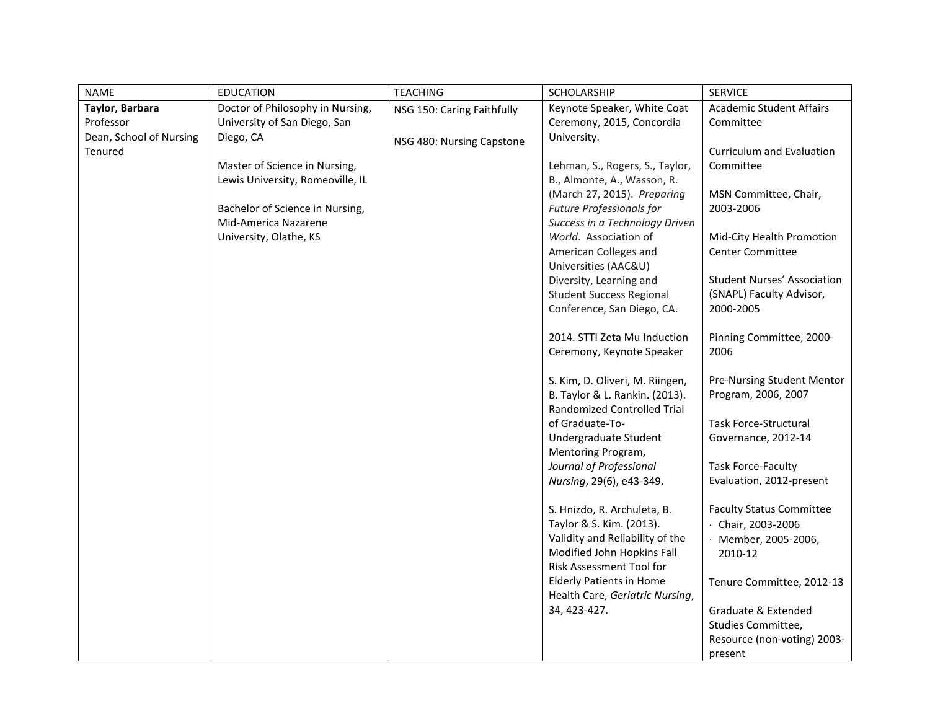| Taylor, Barbara<br>Doctor of Philosophy in Nursing,<br>Keynote Speaker, White Coat<br><b>Academic Student Affairs</b><br>NSG 150: Caring Faithfully<br>Professor<br>University of San Diego, San<br>Ceremony, 2015, Concordia<br>Committee<br>Dean, School of Nursing<br>Diego, CA<br>University.<br>NSG 480: Nursing Capstone<br>Tenured<br>Curriculum and Evaluation<br>Master of Science in Nursing,<br>Lehman, S., Rogers, S., Taylor,<br>Committee<br>Lewis University, Romeoville, IL<br>B., Almonte, A., Wasson, R.<br>(March 27, 2015). Preparing<br>MSN Committee, Chair,<br>Bachelor of Science in Nursing,<br><b>Future Professionals for</b><br>2003-2006<br>Mid-America Nazarene<br>Success in a Technology Driven<br>University, Olathe, KS<br>World. Association of<br>Mid-City Health Promotion<br>American Colleges and<br><b>Center Committee</b><br>Universities (AAC&U)<br>Diversity, Learning and<br><b>Student Success Regional</b><br>(SNAPL) Faculty Advisor,<br>Conference, San Diego, CA.<br>2000-2005<br>2014. STTI Zeta Mu Induction<br>Pinning Committee, 2000-<br>2006<br>Ceremony, Keynote Speaker<br>S. Kim, D. Oliveri, M. Riingen,<br>B. Taylor & L. Rankin. (2013).<br>Program, 2006, 2007<br><b>Randomized Controlled Trial</b><br>Task Force-Structural<br>of Graduate-To-<br>Undergraduate Student<br>Governance, 2012-14<br>Mentoring Program,<br><b>Task Force-Faculty</b><br>Journal of Professional<br>Nursing, 29(6), e43-349.<br>Evaluation, 2012-present<br>S. Hnizdo, R. Archuleta, B.<br><b>Faculty Status Committee</b><br>Taylor & S. Kim. (2013).<br>$\cdot$ Chair, 2003-2006<br>Validity and Reliability of the<br>· Member, 2005-2006,<br>Modified John Hopkins Fall<br>2010-12<br>Risk Assessment Tool for<br><b>Elderly Patients in Home</b><br>Health Care, Geriatric Nursing,<br>34, 423-427.<br>Graduate & Extended<br>Studies Committee, | <b>NAME</b> | <b>EDUCATION</b> | <b>TEACHING</b> | <b>SCHOLARSHIP</b> | <b>SERVICE</b>                                                                                |
|----------------------------------------------------------------------------------------------------------------------------------------------------------------------------------------------------------------------------------------------------------------------------------------------------------------------------------------------------------------------------------------------------------------------------------------------------------------------------------------------------------------------------------------------------------------------------------------------------------------------------------------------------------------------------------------------------------------------------------------------------------------------------------------------------------------------------------------------------------------------------------------------------------------------------------------------------------------------------------------------------------------------------------------------------------------------------------------------------------------------------------------------------------------------------------------------------------------------------------------------------------------------------------------------------------------------------------------------------------------------------------------------------------------------------------------------------------------------------------------------------------------------------------------------------------------------------------------------------------------------------------------------------------------------------------------------------------------------------------------------------------------------------------------------------------------------------------------------------------------------------------------------------|-------------|------------------|-----------------|--------------------|-----------------------------------------------------------------------------------------------|
|                                                                                                                                                                                                                                                                                                                                                                                                                                                                                                                                                                                                                                                                                                                                                                                                                                                                                                                                                                                                                                                                                                                                                                                                                                                                                                                                                                                                                                                                                                                                                                                                                                                                                                                                                                                                                                                                                                    |             |                  |                 |                    | <b>Student Nurses' Association</b><br>Pre-Nursing Student Mentor<br>Tenure Committee, 2012-13 |
| present                                                                                                                                                                                                                                                                                                                                                                                                                                                                                                                                                                                                                                                                                                                                                                                                                                                                                                                                                                                                                                                                                                                                                                                                                                                                                                                                                                                                                                                                                                                                                                                                                                                                                                                                                                                                                                                                                            |             |                  |                 |                    | Resource (non-voting) 2003-                                                                   |